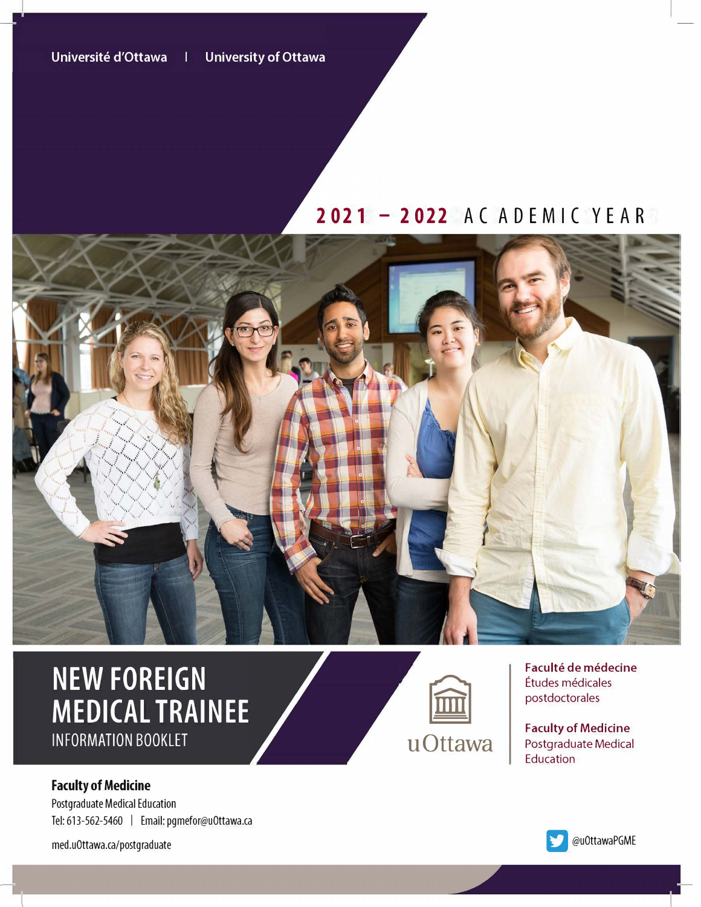**Universite d'Ottawa I University of Ottawa** 

# 2021 - 2022 ACADEMIC YEAR



# **NEW FOREIGN MEDICAL TRAINEE**  INFORMATION BOOKLET

#### **Faculty of Medicine**

Postgraduate Medical Education Tel: 613-562-5460 | Email: pgmefor@uOttawa.ca

med.uOttawa.ca/postgraduate



**Faculte de medecine**  Études médicales postdoctorales

**Faculty of Medicine**  Postgraduate Medical Education

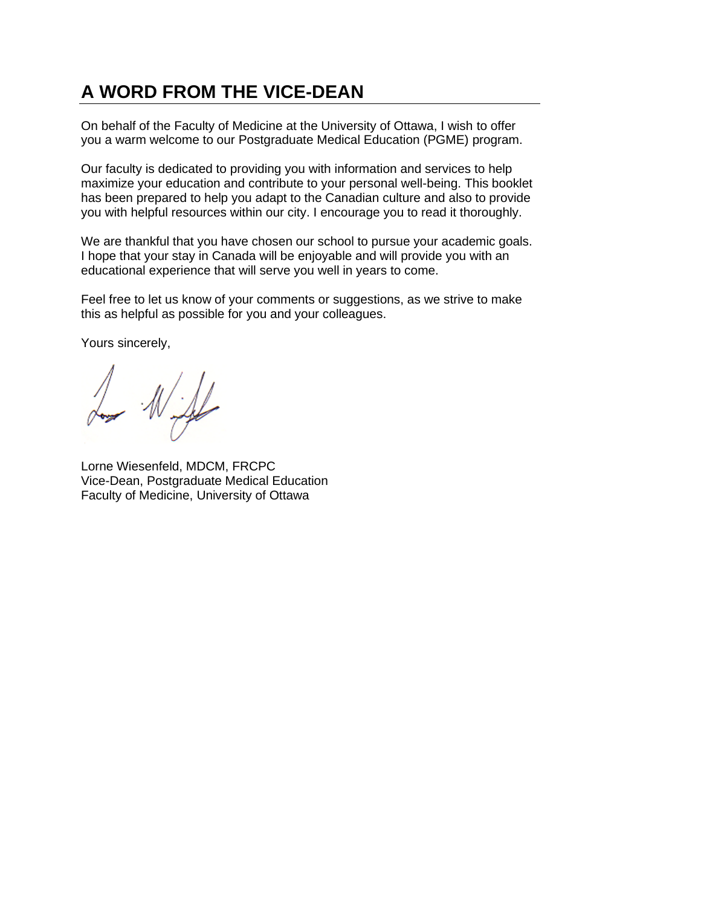# **A WORD FROM THE VICE-DEAN**

On behalf of the Faculty of Medicine at the University of Ottawa, I wish to offer you a warm welcome to our Postgraduate Medical Education (PGME) program.

Our faculty is dedicated to providing you with information and services to help maximize your education and contribute to your personal well-being. This booklet has been prepared to help you adapt to the Canadian culture and also to provide you with helpful resources within our city. I encourage you to read it thoroughly.

We are thankful that you have chosen our school to pursue your academic goals. I hope that your stay in Canada will be enjoyable and will provide you with an educational experience that will serve you well in years to come.

Feel free to let us know of your comments or suggestions, as we strive to make this as helpful as possible for you and your colleagues.

Yours sincerely,

 $W_{\mathcal{A}}$ 

Lorne Wiesenfeld, MDCM, FRCPC Vice-Dean, Postgraduate Medical Education Faculty of Medicine, University of Ottawa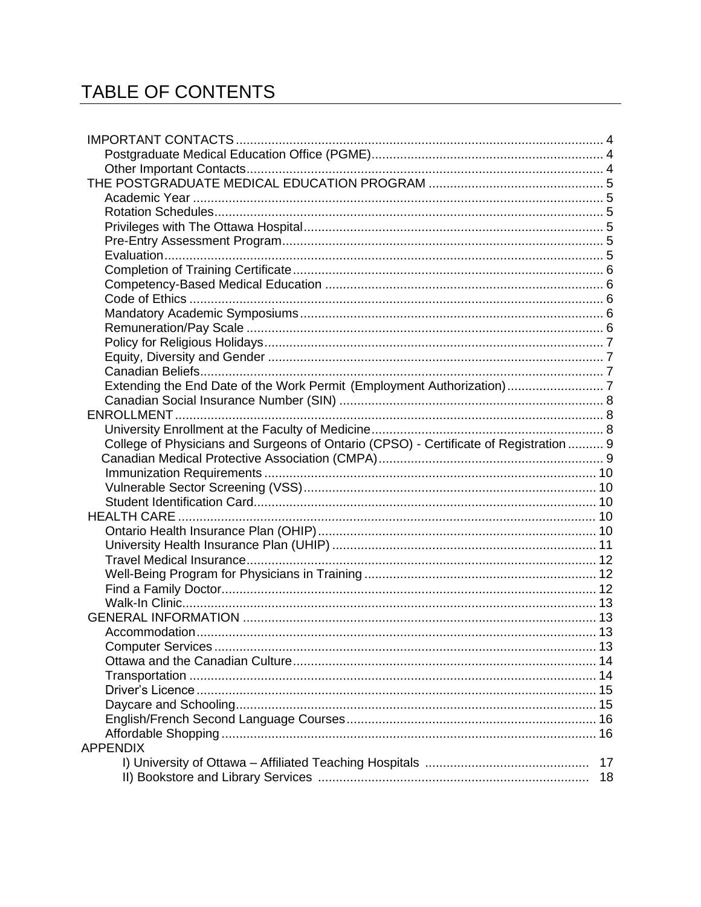# TABLE OF CONTENTS

| College of Physicians and Surgeons of Ontario (CPSO) - Certificate of Registration  9 |          |
|---------------------------------------------------------------------------------------|----------|
|                                                                                       |          |
|                                                                                       |          |
|                                                                                       |          |
|                                                                                       |          |
|                                                                                       |          |
|                                                                                       |          |
|                                                                                       |          |
|                                                                                       |          |
|                                                                                       |          |
|                                                                                       |          |
|                                                                                       |          |
|                                                                                       |          |
|                                                                                       |          |
|                                                                                       |          |
|                                                                                       |          |
|                                                                                       |          |
|                                                                                       |          |
|                                                                                       |          |
|                                                                                       |          |
|                                                                                       |          |
|                                                                                       |          |
| <b>APPENDIX</b>                                                                       |          |
|                                                                                       | 17<br>18 |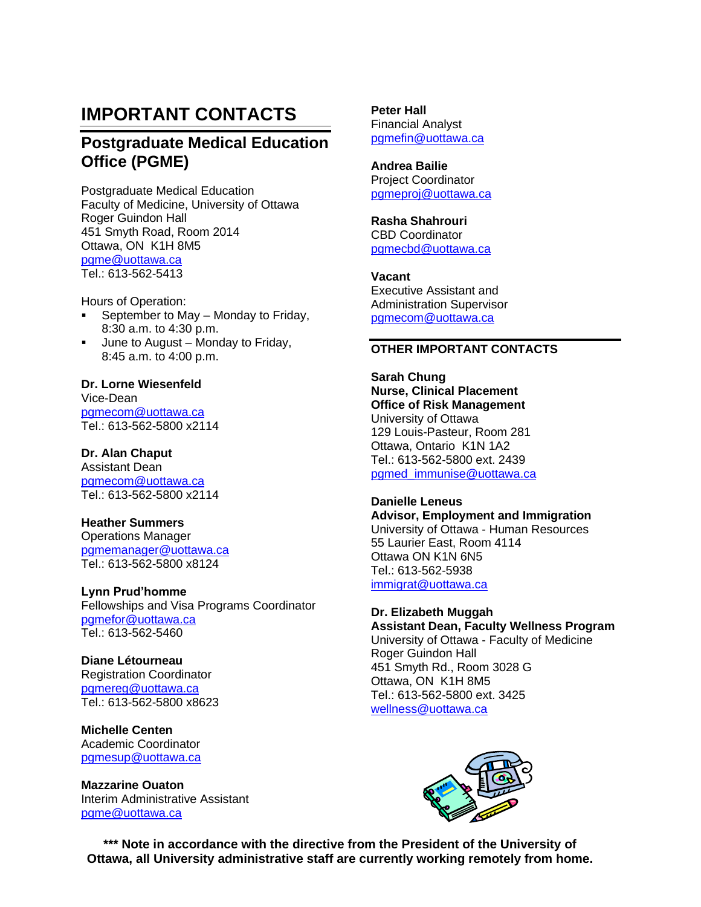# **IMPORTANT CONTACTS**

### **Postgraduate Medical Education Office (PGME)**

Postgraduate Medical Education Faculty of Medicine, University of Ottawa Roger Guindon Hall 451 Smyth Road, Room 2014 Ottawa, ON K1H 8M5 [pgme@uottawa.ca](mailto:pgme@uottawa.ca)  $Tel: 613-562-5413$ 

Hours of Operation:

- September to May Monday to Friday, 8:30 a.m. to 4:30 p.m.
- June to August Monday to Friday, 8:45 a.m. to 4:00 p.m.

**Dr. Lorne Wiesenfeld** Vice-Dean [pgmecom@uottawa.ca](mailto:pgmecom@uottawa.ca) Tel.: 613-562-5800 x2114

**Dr. Alan Chaput** Assistant Dean [pgmecom@uottawa.ca](mailto:pgmecom@uottawa.ca) Tel.: 613-562-5800 x2114

**Heather Summers** Operations Manager [pgmemanager@uottawa.ca](mailto:pgmemanager@uottawa.ca) Tel.: 613-562-5800 x8124

**Lynn Prud'homme** Fellowships and Visa Programs Coordinator [pgmefor@uottawa.ca](mailto:pgmefor@uottawa.ca) Tel.: 613-562-5460

**Diane Létourneau** Registration Coordinator [pgmereg@uottawa.ca](mailto:pgmereg@uottawa.ca) Tel.: 613-562-5800 x8623

**Michelle Centen** Academic Coordinator pgmesup@uottawa.ca

**Mazzarine Ouaton** Interim Administrative Assistant [pgme@uottawa.ca](mailto:pgme@uottawa.ca)

**Peter Hall** Financial Analyst [pgmefin@uottawa.ca](mailto:pgmefin@uottawa.ca)

**Andrea Bailie** Project Coordinator [pgmeproj@uottawa.ca](mailto:pgmeproj@uottawa.ca)

**Rasha Shahrouri** CBD Coordinator [pgmecbd@uottawa.ca](mailto:pgmecbd@uottawa.ca)

**Vacant** Executive Assistant and Administration Supervisor [pgmecom@uottawa.ca](mailto:pgmecom@uottawa.ca)

#### **OTHER IMPORTANT CONTACTS**

**Sarah Chung Nurse, Clinical Placement Office of Risk Management** University of Ottawa 129 Louis-Pasteur, Room 281 Ottawa, Ontario K1N 1A2 Tel.: 613-562-5800 ext. 2439 [pgmed\\_immunise@uottawa.ca](mailto:dlaplant@uOttawa.ca)

**Danielle Leneus Advisor, Employment and Immigration** University of Ottawa - Human Resources 55 Laurier East, Room 4114 Ottawa ON K1N 6N5 Tel.: 613-562-5938 [immigrat@uottawa.ca](mailto:immigrat@uottawa.ca)

**Dr. Elizabeth Muggah Assistant Dean, Faculty Wellness Program** University of Ottawa - Faculty of Medicine Roger Guindon Hall 451 Smyth Rd., Room 3028 G Ottawa, ON K1H 8M5 Tel.: 613-562-5800 ext. 3425 [wellness@uottawa.ca](mailto:wellness@uottawa.ca)



**\*\*\* Note in accordance with the directive from the President of the University of Ottawa, all University administrative staff are currently working remotely from home.**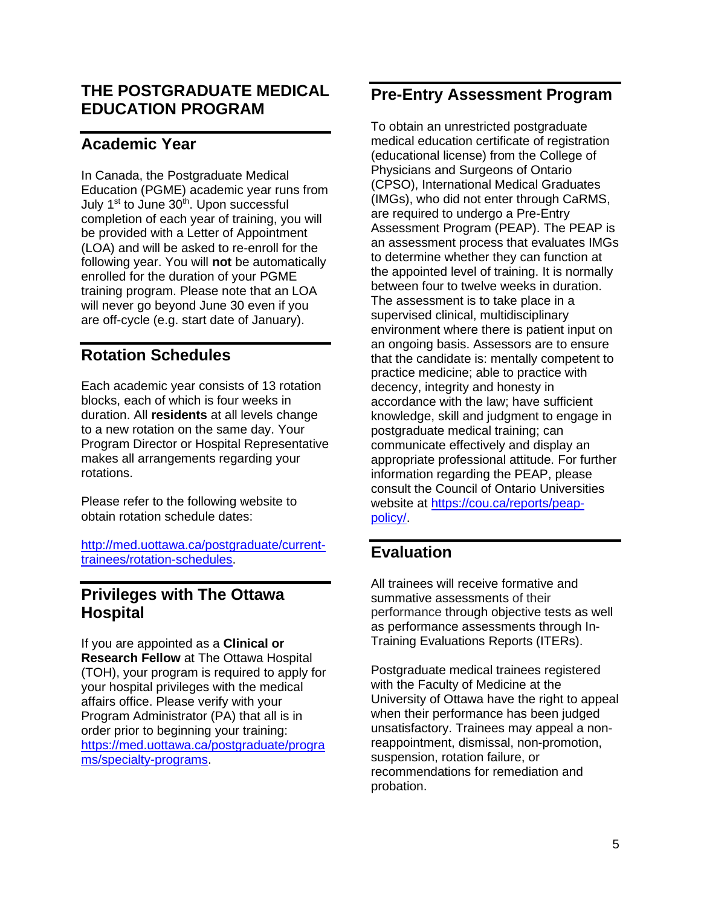### **THE POSTGRADUATE MEDICAL EDUCATION PROGRAM**

### **Academic Year**

In Canada, the Postgraduate Medical Education (PGME) academic year runs from July 1<sup>st</sup> to June 30<sup>th</sup>. Upon successful completion of each year of training, you will be provided with a Letter of Appointment (LOA) and will be asked to re-enroll for the following year. You will **not** be automatically enrolled for the duration of your PGME training program. Please note that an LOA will never go beyond June 30 even if you are off-cycle (e.g. start date of January).

### **Rotation Schedules**

Each academic year consists of 13 rotation blocks, each of which is four weeks in duration. All **residents** at all levels change to a new rotation on the same day. Your Program Director or Hospital Representative makes all arrangements regarding your rotations.

Please refer to the following website to obtain rotation schedule dates:

[http://med.uottawa.ca/postgraduate/current](http://med.uottawa.ca/postgraduate/current-trainees/rotation-schedules)[trainees/rotation-schedules.](http://med.uottawa.ca/postgraduate/current-trainees/rotation-schedules)

### **Privileges with The Ottawa Hospital**

If you are appointed as a **Clinical or Research Fellow** at The Ottawa Hospital (TOH), your program is required to apply for your hospital privileges with the medical affairs office. Please verify with your Program Administrator (PA) that all is in order prior to beginning your training: [https://med.uottawa.ca/postgraduate/progra](https://med.uottawa.ca/postgraduate/programs/specialty-programs) [ms/specialty-programs.](https://med.uottawa.ca/postgraduate/programs/specialty-programs)

### **Pre-Entry Assessment Program**

To obtain an unrestricted postgraduate medical education certificate of registration (educational license) from the College of Physicians and Surgeons of Ontario (CPSO), International Medical Graduates (IMGs), who did not enter through CaRMS, are required to undergo a Pre-Entry Assessment Program (PEAP). The PEAP is an assessment process that evaluates IMGs to determine whether they can function at the appointed level of training. It is normally between four to twelve weeks in duration. The assessment is to take place in a supervised clinical, multidisciplinary environment where there is patient input on an ongoing basis. Assessors are to ensure that the candidate is: mentally competent to practice medicine; able to practice with decency, integrity and honesty in accordance with the law; have sufficient knowledge, skill and judgment to engage in postgraduate medical training; can communicate effectively and display an appropriate professional attitude. For further information regarding the PEAP, please consult the Council of Ontario Universities website at [https://cou.ca/reports/peap](https://cou.ca/reports/peap-policy/)[policy/.](https://cou.ca/reports/peap-policy/)

### **Evaluation**

All trainees will receive formative and summative assessments of their performance through objective tests as well as performance assessments through In-Training Evaluations Reports (ITERs).

Postgraduate medical trainees registered with the Faculty of Medicine at the University of Ottawa have the right to appeal when their performance has been judged unsatisfactory. Trainees may appeal a nonreappointment, dismissal, non-promotion, suspension, rotation failure, or recommendations for remediation and probation.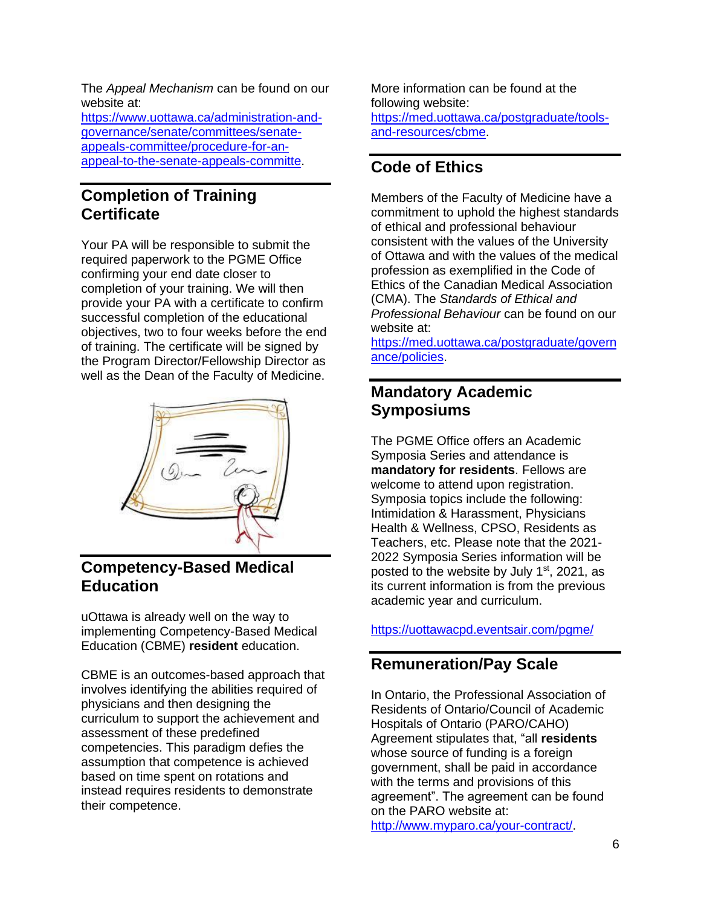The *Appeal Mechanism* can be found on our website at:

[https://www.uottawa.ca/administration-and](https://www.uottawa.ca/administration-and-governance/senate/committees/senate-appeals-committee/procedure-for-an-appeal-to-the-senate-appeals-committe)[governance/senate/committees/senate](https://www.uottawa.ca/administration-and-governance/senate/committees/senate-appeals-committee/procedure-for-an-appeal-to-the-senate-appeals-committe)[appeals-committee/procedure-for-an](https://www.uottawa.ca/administration-and-governance/senate/committees/senate-appeals-committee/procedure-for-an-appeal-to-the-senate-appeals-committe)[appeal-to-the-senate-appeals-committe.](https://www.uottawa.ca/administration-and-governance/senate/committees/senate-appeals-committee/procedure-for-an-appeal-to-the-senate-appeals-committe)

### **Completion of Training Certificate**

Your PA will be responsible to submit the required paperwork to the PGME Office confirming your end date closer to completion of your training. We will then provide your PA with a certificate to confirm successful completion of the educational objectives, two to four weeks before the end of training. The certificate will be signed by the Program Director/Fellowship Director as well as the Dean of the Faculty of Medicine.



### **Competency-Based Medical Education**

uOttawa is already well on the way to implementing Competency-Based Medical Education (CBME) **resident** education.

CBME is an outcomes-based approach that involves identifying the abilities required of physicians and then designing the curriculum to support the achievement and assessment of these predefined competencies. This paradigm defies the assumption that competence is achieved based on time spent on rotations and instead requires residents to demonstrate their competence.

More information can be found at the following website: [https://med.uottawa.ca/postgraduate/tools](https://med.uottawa.ca/postgraduate/tools-and-resources/cbme)[and-resources/cbme.](https://med.uottawa.ca/postgraduate/tools-and-resources/cbme)

### **Code of Ethics**

Members of the Faculty of Medicine have a commitment to uphold the highest standards of ethical and professional behaviour consistent with the values of the University of Ottawa and with the values of the medical profession as exemplified in the Code of Ethics of the Canadian Medical Association (CMA). The *Standards of Ethical and Professional Behaviour* can be found on our website at:

[https://med.uottawa.ca/postgraduate/govern](https://med.uottawa.ca/postgraduate/governance/policies) [ance/policies.](https://med.uottawa.ca/postgraduate/governance/policies)

### **Mandatory Academic Symposiums**

The PGME Office offers an Academic Symposia Series and attendance is **mandatory for residents**. Fellows are welcome to attend upon registration. Symposia topics include the following: Intimidation & Harassment, Physicians Health & Wellness, CPSO, Residents as Teachers, etc. Please note that the 2021- 2022 Symposia Series information will be posted to the website by July 1<sup>st</sup>, 2021, as its current information is from the previous academic year and curriculum.

<https://uottawacpd.eventsair.com/pgme/>

### **Remuneration/Pay Scale**

In Ontario, the Professional Association of Residents of Ontario/Council of Academic Hospitals of Ontario (PARO/CAHO) Agreement stipulates that, "all **residents** whose source of funding is a foreign government, shall be paid in accordance with the terms and provisions of this agreement". The agreement can be found on the PARO website at:

[http://www.myparo.ca/your-contract/.](http://www.myparo.ca/your-contract/)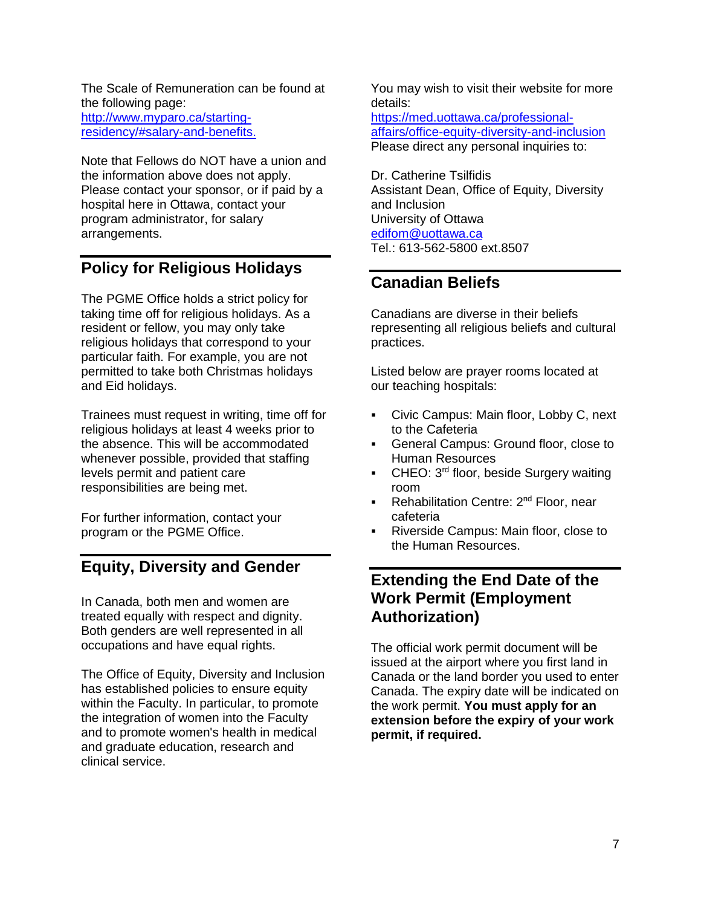The Scale of Remuneration can be found at the following page: [http://www.myparo.ca/starting](http://www.myparo.ca/starting-residency/#salary-and-benefits)[residency/#salary-and-benefits.](http://www.myparo.ca/starting-residency/#salary-and-benefits)

Note that Fellows do NOT have a union and the information above does not apply. Please contact your sponsor, or if paid by a hospital here in Ottawa, contact your program administrator, for salary arrangements.

### **Policy for Religious Holidays**

The PGME Office holds a strict policy for taking time off for religious holidays. As a resident or fellow, you may only take religious holidays that correspond to your particular faith. For example, you are not permitted to take both Christmas holidays and Eid holidays.

Trainees must request in writing, time off for religious holidays at least 4 weeks prior to the absence. This will be accommodated whenever possible, provided that staffing levels permit and patient care responsibilities are being met.

For further information, contact your program or the PGME Office.

### **Equity, Diversity and Gender**

In Canada, both men and women are treated equally with respect and dignity. Both genders are well represented in all occupations and have equal rights.

The Office of Equity, Diversity and Inclusion has established policies to ensure equity within the Faculty. In particular, to promote the integration of women into the Faculty and to promote women's health in medical and graduate education, research and clinical service.

You may wish to visit their website for more details: [https://med.uottawa.ca/professional](https://med.uottawa.ca/professional-affairs/office-equity-diversity-and-inclusion)[affairs/office-equity-diversity-and-inclusion](https://med.uottawa.ca/professional-affairs/office-equity-diversity-and-inclusion) Please direct any personal inquiries to:

Dr. Catherine Tsilfidis Assistant Dean, Office of Equity, Diversity and Inclusion University of Ottawa [edifom@uottawa.ca](mailto:edifom@uottawa.ca) Tel.: 613-562-5800 ext.8507

### **Canadian Beliefs**

Canadians are diverse in their beliefs representing all religious beliefs and cultural practices.

Listed below are prayer rooms located at our teaching hospitals:

- Civic Campus: Main floor, Lobby C, next to the Cafeteria
- General Campus: Ground floor, close to Human Resources
- CHEO: 3<sup>rd</sup> floor, beside Surgery waiting room
- Rehabilitation Centre: 2<sup>nd</sup> Floor, near cafeteria
- Riverside Campus: Main floor, close to the Human Resources.

### **Extending the End Date of the Work Permit (Employment Authorization)**

The official work permit document will be issued at the airport where you first land in Canada or the land border you used to enter Canada. The expiry date will be indicated on the work permit. **You must apply for an extension before the expiry of your work permit, if required.**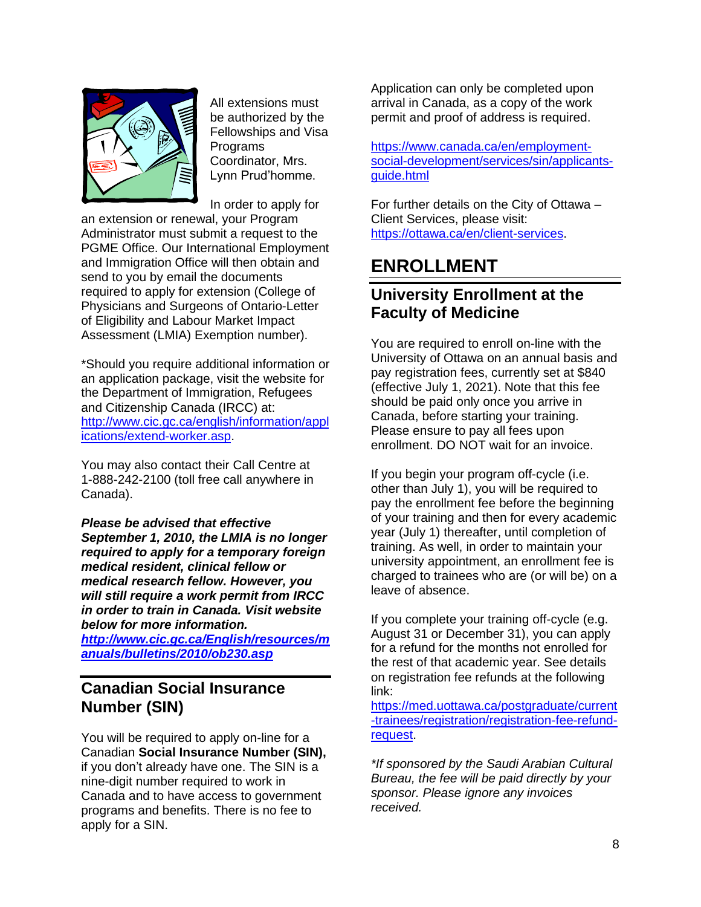

All extensions must be authorized by the Fellowships and Visa Programs Coordinator, Mrs. Lynn Prud'homme.

In order to apply for

an extension or renewal, your Program Administrator must submit a request to the PGME Office. Our International Employment and Immigration Office will then obtain and send to you by email the documents required to apply for extension (College of Physicians and Surgeons of Ontario-Letter of Eligibility and Labour Market Impact Assessment (LMIA) Exemption number).

\*Should you require additional information or an application package, visit the website for the Department of Immigration, Refugees and Citizenship Canada (IRCC) at: [http://www.cic.gc.ca/english/information/appl](http://www.cic.gc.ca/english/information/applications/extend-worker.asp) [ications/extend-worker.asp.](http://www.cic.gc.ca/english/information/applications/extend-worker.asp)

You may also contact their Call Centre at 1-888-242-2100 (toll free call anywhere in Canada).

*Please be advised that effective September 1, 2010, the LMIA is no longer required to apply for a temporary foreign medical resident, clinical fellow or medical research fellow. However, you will still require a work permit from IRCC in order to train in Canada. Visit website below for more information.* 

*[http://www.cic.gc.ca/English/resources/m](http://www.cic.gc.ca/English/resources/manuals/bulletins/2010/ob230.asp) [anuals/bulletins/2010/ob230.asp](http://www.cic.gc.ca/English/resources/manuals/bulletins/2010/ob230.asp)*

### **Canadian Social Insurance Number (SIN)**

You will be required to apply on-line for a Canadian **Social Insurance Number (SIN),**  if you don't already have one. The SIN is a nine-digit number required to work in Canada and to have access to government programs and benefits. There is no fee to apply for a SIN.

Application can only be completed upon arrival in Canada, as a copy of the work permit and proof of address is required.

[https://www.canada.ca/en/employment](https://www.canada.ca/en/employment-social-development/services/sin/applicants-guide.html)[social-development/services/sin/applicants](https://www.canada.ca/en/employment-social-development/services/sin/applicants-guide.html)[guide.html](https://www.canada.ca/en/employment-social-development/services/sin/applicants-guide.html)

For further details on the City of Ottawa – Client Services, please visit: [https://ottawa.ca/en/client-services.](https://ottawa.ca/en/client-services)

# **ENROLLMENT**

### **University Enrollment at the Faculty of Medicine**

You are required to enroll on-line with the University of Ottawa on an annual basis and pay registration fees, currently set at \$840 (effective July 1, 2021). Note that this fee should be paid only once you arrive in Canada, before starting your training. Please ensure to pay all fees upon enrollment. DO NOT wait for an invoice.

If you begin your program off-cycle (i.e. other than July 1), you will be required to pay the enrollment fee before the beginning of your training and then for every academic year (July 1) thereafter, until completion of training. As well, in order to maintain your university appointment, an enrollment fee is charged to trainees who are (or will be) on a leave of absence.

If you complete your training off-cycle (e.g. August 31 or December 31), you can apply for a refund for the months not enrolled for the rest of that academic year. See details on registration fee refunds at the following link:

[https://med.uottawa.ca/postgraduate/current](https://med.uottawa.ca/postgraduate/current-trainees/registration/registration-fee-refund-request) [-trainees/registration/registration-fee-refund](https://med.uottawa.ca/postgraduate/current-trainees/registration/registration-fee-refund-request)[request.](https://med.uottawa.ca/postgraduate/current-trainees/registration/registration-fee-refund-request)

*\*If sponsored by the Saudi Arabian Cultural Bureau, the fee will be paid directly by your sponsor. Please ignore any invoices received.*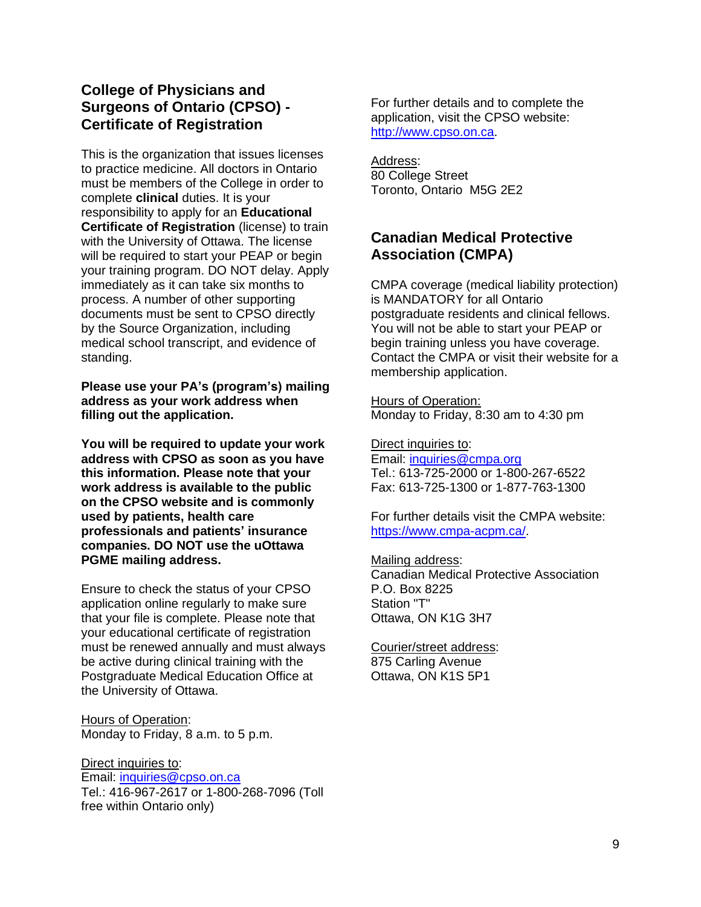### **College of Physicians and Surgeons of Ontario (CPSO) - Certificate of Registration**

This is the organization that issues licenses to practice medicine. All doctors in Ontario must be members of the College in order to complete **clinical** duties. It is your responsibility to apply for an **Educational Certificate of Registration** (license) to train with the University of Ottawa. The license will be required to start your PEAP or begin your training program. DO NOT delay. Apply immediately as it can take six months to process. A number of other supporting documents must be sent to CPSO directly by the Source Organization, including medical school transcript, and evidence of standing.

**Please use your PA's (program's) mailing address as your work address when filling out the application.**

**You will be required to update your work address with CPSO as soon as you have this information. Please note that your work address is available to the public on the CPSO website and is commonly used by patients, health care professionals and patients' insurance companies. DO NOT use the uOttawa PGME mailing address.**

Ensure to check the status of your CPSO application online regularly to make sure that your file is complete. Please note that your educational certificate of registration must be renewed annually and must always be active during clinical training with the Postgraduate Medical Education Office at the University of Ottawa.

Hours of Operation: Monday to Friday, 8 a.m. to 5 p.m.

Direct inquiries to: Email: [inquiries@cpso.on.ca](mailto:inquiries@cpso.on.ca) Tel.: 416-967-2617 or 1-800-268-7096 (Toll free within Ontario only)

For further details and to complete the application, visit the CPSO website: [http://www.cpso.on.ca.](http://www.cpso.on.ca/)

Address: 80 College Street Toronto, Ontario M5G 2E2

### **Canadian Medical Protective Association (CMPA)**

CMPA coverage (medical liability protection) is MANDATORY for all Ontario postgraduate residents and clinical fellows. You will not be able to start your PEAP or begin training unless you have coverage. Contact the CMPA or visit their website for a membership application.

Hours of Operation: Monday to Friday, 8:30 am to 4:30 pm

Direct inquiries to: Email: [inquiries@cmpa.org](mailto:inquiries@cmpa.org) Tel.: 613-725-2000 or 1-800-267-6522 Fax: 613-725-1300 or 1-877-763-1300

For further details visit the CMPA website: [https://www.cmpa-acpm.ca/.](https://www.cmpa-acpm.ca/)

Mailing address: Canadian Medical Protective Association P.O. Box 8225 Station "T" Ottawa, ON K1G 3H7

Courier/street address: 875 Carling Avenue Ottawa, ON K1S 5P1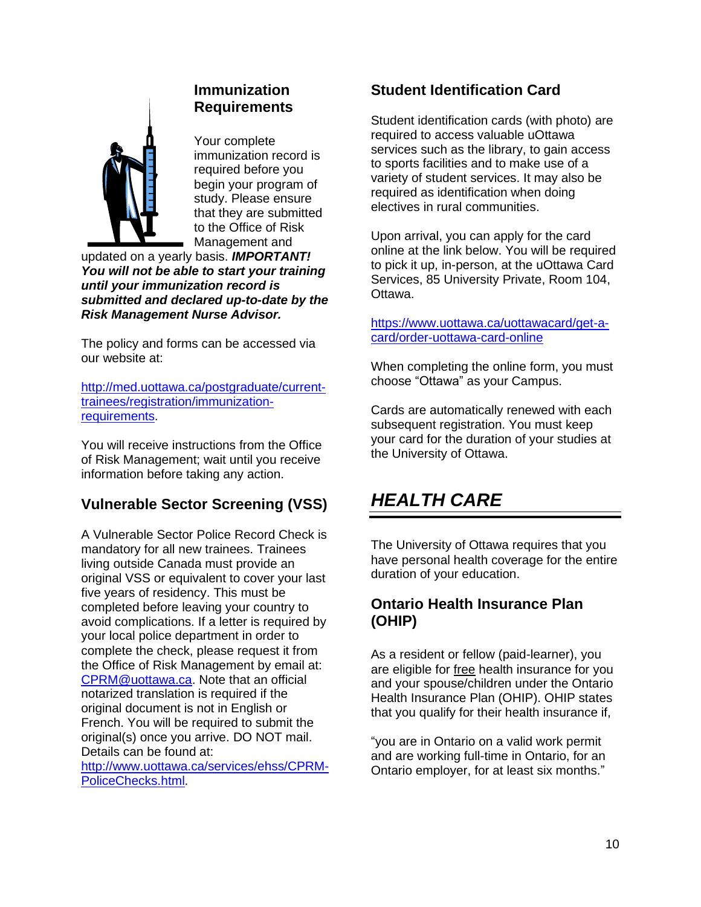

### **Immunization Requirements**

Your complete immunization record is required before you begin your program of study. Please ensure that they are submitted to the Office of Risk Management and

updated on a yearly basis. *IMPORTANT! You will not be able to start your training until your immunization record is submitted and declared up-to-date by the Risk Management Nurse Advisor.*

The policy and forms can be accessed via our website at:

[http://med.uottawa.ca/postgraduate/current](http://med.uottawa.ca/postgraduate/current-trainees/registration/immunization-requirements)[trainees/registration/immunization](http://med.uottawa.ca/postgraduate/current-trainees/registration/immunization-requirements)[requirements.](http://med.uottawa.ca/postgraduate/current-trainees/registration/immunization-requirements)

You will receive instructions from the Office of Risk Management; wait until you receive information before taking any action.

### **[Vulnerable Sector Screening \(VSS\)](http://www.medicine.uottawa.ca/postgraduate/assets/documents/2013-2014_Initial-Registration_Kit/EN/Criminal_%20record_check_vulnerable_sector_verification_CPIC2010.pdf)**

A Vulnerable Sector Police Record Check is mandatory for all new trainees. Trainees living outside Canada must provide an original VSS or equivalent to cover your last five years of residency. This must be completed before leaving your country to avoid complications. If a letter is required by your local police department in order to complete the check, please request it from the Office of Risk Management by email at: [CPRM@uottawa.ca.](mailto:CPRM@uottawa.ca) Note that an official notarized translation is required if the original document is not in English or French. You will be required to submit the original(s) once you arrive. DO NOT mail. Details can be found at: [http://www.uottawa.ca/services/ehss/CPRM-](http://www.uottawa.ca/services/ehss/CPRM-PoliceChecks.html)

[PoliceChecks.html.](http://www.uottawa.ca/services/ehss/CPRM-PoliceChecks.html)

### **Student Identification Card**

Student identification cards (with photo) are required to access valuable uOttawa services such as the library, to gain access to sports facilities and to make use of a variety of student services. It may also be required as identification when doing electives in rural communities.

Upon arrival, you can apply for the card [online](https://www.uottawa.ca/uottawacard/get-a-card/order-uottawa-card-online) at the link below. You will be required to pick it up, in-person, at the [uOttawa Card](https://www.uottawa.ca/uottawacard/)  [Services,](https://www.uottawa.ca/uottawacard/) 85 University Private, Room 104, Ottawa.

#### [https://www.uottawa.ca/uottawacard/get-a](https://www.uottawa.ca/uottawacard/get-a-card/order-uottawa-card-online)[card/order-uottawa-card-online](https://www.uottawa.ca/uottawacard/get-a-card/order-uottawa-card-online)

When completing the online form, you must choose "Ottawa" as your Campus.

Cards are automatically renewed with each subsequent registration. You must keep your card for the duration of your studies at the University of Ottawa.

# *HEALTH CARE*

The University of Ottawa requires that you have personal health coverage for the entire duration of your education.

### **Ontario Health Insurance Plan (OHIP)**

As a resident or fellow (paid-learner), you are eligible for free health insurance for you and your spouse/children under the Ontario Health Insurance Plan (OHIP). OHIP states that you qualify for their health insurance if,

"you are in Ontario on a valid work permit and are working full-time in Ontario, for an Ontario employer, for at least six months."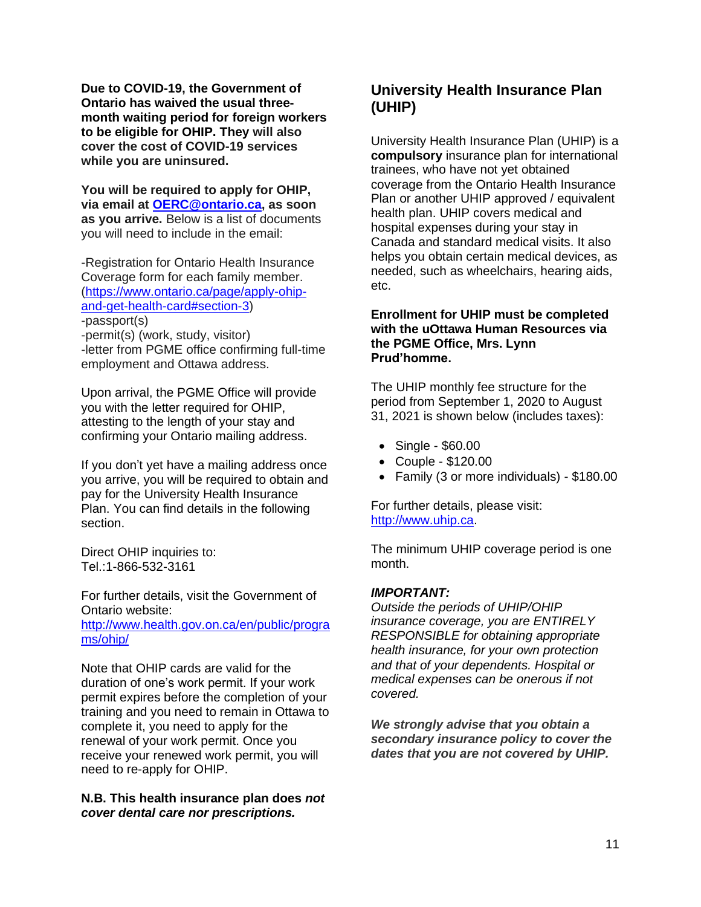**Due to COVID-19, the Government of Ontario has waived the usual threemonth waiting period for foreign workers to be eligible for OHIP. They will also cover the cost of COVID-19 services while you are uninsured.**

**You will be required to apply for OHIP, via email at [OERC@ontario.ca,](mailto:OERC@ontario.ca) as soon as you arrive.** Below is a list of documents you will need to include in the email:

-Registration for Ontario Health Insurance Coverage form for each family member. [\(https://www.ontario.ca/page/apply-ohip](https://www.ontario.ca/page/apply-ohip-and-get-health-card#section-3)[and-get-health-card#section-3\)](https://www.ontario.ca/page/apply-ohip-and-get-health-card#section-3) -passport(s)

-permit(s) (work, study, visitor) -letter from PGME office confirming full-time employment and Ottawa address.

Upon arrival, the PGME Office will provide you with the letter required for OHIP, attesting to the length of your stay and confirming your Ontario mailing address.

If you don't yet have a mailing address once you arrive, you will be required to obtain and pay for the University Health Insurance Plan. You can find details in the following section.

Direct OHIP inquiries to: Tel.[:1-866-532-3161](tel:+18665323161)

For further details, visit the Government of Ontario website: [http://www.health.gov.on.ca/en/public/progra](http://www.health.gov.on.ca/en/public/programs/ohip/) [ms/ohip/](http://www.health.gov.on.ca/en/public/programs/ohip/)

Note that OHIP cards are valid for the duration of one's work permit. If your work permit expires before the completion of your training and you need to remain in Ottawa to complete it, you need to apply for the renewal of your work permit. Once you receive your renewed work permit, you will need to re-apply for OHIP.

**N.B. This health insurance plan does** *not cover dental care nor prescriptions.*

### **University Health Insurance Plan (UHIP)**

University Health Insurance Plan (UHIP) is a **compulsory** insurance plan for international trainees, who have not yet obtained coverage from the Ontario Health Insurance Plan or another UHIP approved / equivalent health plan. UHIP covers medical and hospital expenses during your stay in Canada and standard medical visits. It also helps you obtain certain medical devices, as needed, such as wheelchairs, hearing aids, etc.

#### **Enrollment for UHIP must be completed with the uOttawa Human Resources via the PGME Office, Mrs. Lynn Prud'homme.**

The UHIP monthly fee structure for the period from September 1, 2020 to August 31, 2021 is shown below (includes taxes):

- Single \$60.00
- Couple \$120.00
- Family (3 or more individuals) \$180.00

For further details, please visit: [http://www.uhip.ca.](http://www.uhip.ca/)

The minimum UHIP coverage period is one month.

#### *IMPORTANT:*

*Outside the periods of UHIP/OHIP insurance coverage, you are ENTIRELY RESPONSIBLE for obtaining appropriate health insurance, for your own protection and that of your dependents. Hospital or medical expenses can be onerous if not covered.* 

*We strongly advise that you obtain a secondary insurance policy to cover the dates that you are not covered by UHIP.*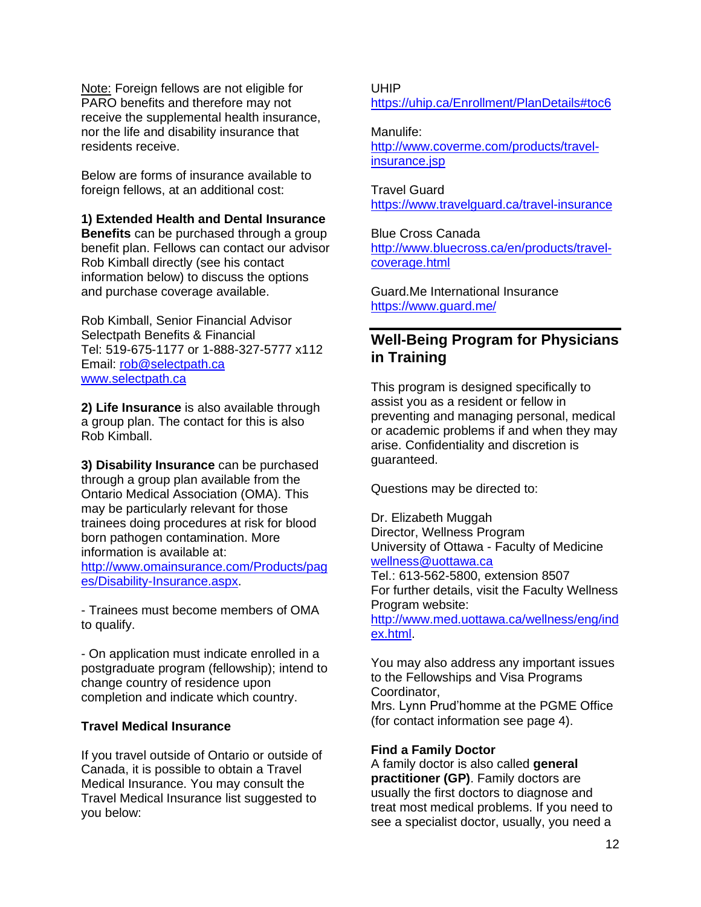Note: Foreign fellows are not eligible for PARO benefits and therefore may not receive the supplemental health insurance, nor the life and disability insurance that residents receive.

Below are forms of insurance available to foreign fellows, at an additional cost:

#### **1) Extended Health and Dental Insurance**

**Benefits** can be purchased through a group benefit plan. Fellows can contact our advisor Rob Kimball directly (see his contact information below) to discuss the options and purchase coverage available.

Rob Kimball, Senior Financial Advisor Selectpath Benefits & Financial Tel: 519-675-1177 or 1-888-327-5777 x112 Email: [rob@selectpath.ca](mailto:rob@selectpath.ca) [www.selectpath.ca](http://www.selectpath.ca/)

**2) Life Insurance** is also available through a group plan. The contact for this is also Rob Kimball.

**3) Disability Insurance** can be purchased through a group plan available from the Ontario Medical Association (OMA). This may be particularly relevant for those trainees doing procedures at risk for blood born pathogen contamination. More information is available at: [http://www.omainsurance.com/Products/pag](http://www.omainsurance.com/Products/pages/Disability-Insurance.aspx) [es/Disability-Insurance.aspx.](http://www.omainsurance.com/Products/pages/Disability-Insurance.aspx)

- Trainees must become members of OMA to qualify.

- On application must indicate enrolled in a postgraduate program (fellowship); intend to change country of residence upon completion and indicate which country.

#### **Travel Medical Insurance**

If you travel outside of Ontario or outside of Canada, it is possible to obtain a Travel Medical Insurance. You may consult the Travel Medical Insurance list suggested to you below:

UHIP <https://uhip.ca/Enrollment/PlanDetails#toc6>

Manulife: [http://www.coverme.com/products/travel](http://www.coverme.com/products/travel-insurance.jsp)[insurance.jsp](http://www.coverme.com/products/travel-insurance.jsp)

Travel Guard <https://www.travelguard.ca/travel-insurance>

Blue Cross Canada [http://www.bluecross.ca/en/products/travel](http://www.bluecross.ca/en/products/travel-coverage.html)[coverage.html](http://www.bluecross.ca/en/products/travel-coverage.html)

Guard.Me International Insurance <https://www.guard.me/>

### **Well-Being Program for Physicians in Training**

This program is designed specifically to assist you as a resident or fellow in preventing and managing personal, medical or academic problems if and when they may arise. Confidentiality and discretion is guaranteed.

Questions may be directed to:

Dr. Elizabeth Muggah Director, Wellness Program University of Ottawa - Faculty of Medicine [wellness@uottawa.ca](mailto:wellness@uottawa.ca) Tel.: 613-562-5800, extension 8507 For further details, visit the Faculty Wellness Program website: [http://www.med.uottawa.ca/wellness/eng/ind](http://www.med.uottawa.ca/wellness/eng/index.html) [ex.html.](http://www.med.uottawa.ca/wellness/eng/index.html)

You may also address any important issues to the Fellowships and Visa Programs Coordinator, Mrs. Lynn Prud'homme at the PGME Office

(for contact information see page 4).

#### **Find a Family Doctor**

A family doctor is also called **general practitioner (GP)**. Family doctors are usually the first doctors to diagnose and treat most medical problems. If you need to see a specialist doctor, usually, you need a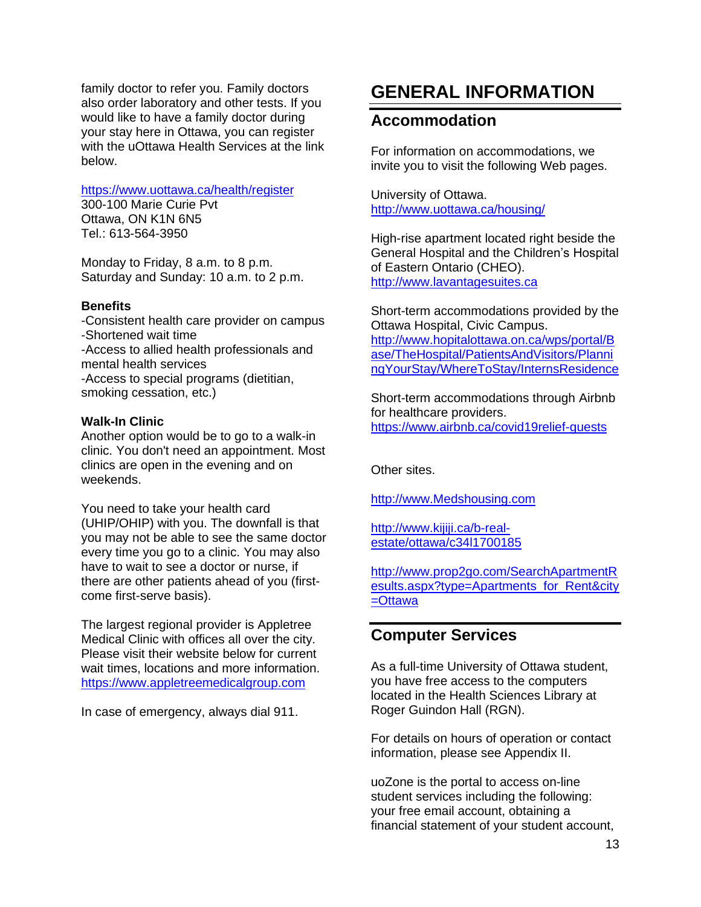family doctor to refer you. Family doctors also order laboratory and other tests. If you would like to have a family doctor during your stay here in Ottawa, you can register with the uOttawa Health Services at the link below.

#### <https://www.uottawa.ca/health/register>

300-100 Marie Curie Pvt Ottawa, ON K1N 6N5 Tel.: 613-564-3950

Monday to Friday, 8 a.m. to 8 p.m. Saturday and Sunday: 10 a.m. to 2 p.m.

#### **Benefits**

-Consistent health care provider on campus -Shortened wait time -Access to allied health professionals and mental health services -Access to special programs (dietitian, smoking cessation, etc.)

#### **Walk-In Clinic**

Another option would be to go to a walk-in clinic. You don't need an appointment. Most clinics are open in the evening and on weekends.

You need to take your health card (UHIP/OHIP) with you. The downfall is that you may not be able to see the same doctor every time you go to a clinic. You may also have to wait to see a doctor or nurse, if there are other patients ahead of you (firstcome first-serve basis).

The largest regional provider is Appletree Medical Clinic with offices all over the city. Please visit their website below for current wait times, locations and more information. [https://www.appletreemedicalgroup.com](https://www.appletreemedicalgroup.com/)

In case of emergency, always dial 911.

# **GENERAL INFORMATION**

### **Accommodation**

For information on accommodations, we invite you to visit the following Web pages.

University of Ottawa. <http://www.uottawa.ca/housing/>

High-rise apartment located right beside the General Hospital and the Children's Hospital of Eastern Ontario (CHEO). [http://www.lavantagesuites.ca](http://www.lavantagesuites.ca/)

Short-term accommodations provided by the Ottawa Hospital, Civic Campus. [http://www.hopitalottawa.on.ca/wps/portal/B](http://www.hopitalottawa.on.ca/wps/portal/Base/TheHospital/PatientsAndVisitors/PlanningYourStay/WhereToStay/InternsResidence) [ase/TheHospital/PatientsAndVisitors/Planni](http://www.hopitalottawa.on.ca/wps/portal/Base/TheHospital/PatientsAndVisitors/PlanningYourStay/WhereToStay/InternsResidence) [ngYourStay/WhereToStay/InternsResidence](http://www.hopitalottawa.on.ca/wps/portal/Base/TheHospital/PatientsAndVisitors/PlanningYourStay/WhereToStay/InternsResidence)

Short-term accommodations through Airbnb for healthcare providers. <https://www.airbnb.ca/covid19relief-guests>

Other sites.

http:/[/www.Medshousing.com](http://www.medshousing.com/)

[http://www.kijiji.ca/b-real](http://www.kijiji.ca/b-real-estate/ottawa/c34l1700185)[estate/ottawa/c34l1700185](http://www.kijiji.ca/b-real-estate/ottawa/c34l1700185)

[http://www.prop2go.com/SearchApartmentR](http://www.prop2go.com/SearchApartmentResults.aspx?type=Apartments_for_Rent&city=Ottawa) [esults.aspx?type=Apartments\\_for\\_Rent&city](http://www.prop2go.com/SearchApartmentResults.aspx?type=Apartments_for_Rent&city=Ottawa) [=Ottawa](http://www.prop2go.com/SearchApartmentResults.aspx?type=Apartments_for_Rent&city=Ottawa)

### **Computer Services**

As a full-time University of Ottawa student, you have free access to the computers located in the Health Sciences Library at Roger Guindon Hall (RGN).

For details on hours of operation or contact information, please see Appendix II.

uoZone is the portal to access on-line student services including the following: your free email account, obtaining a financial statement of your student account,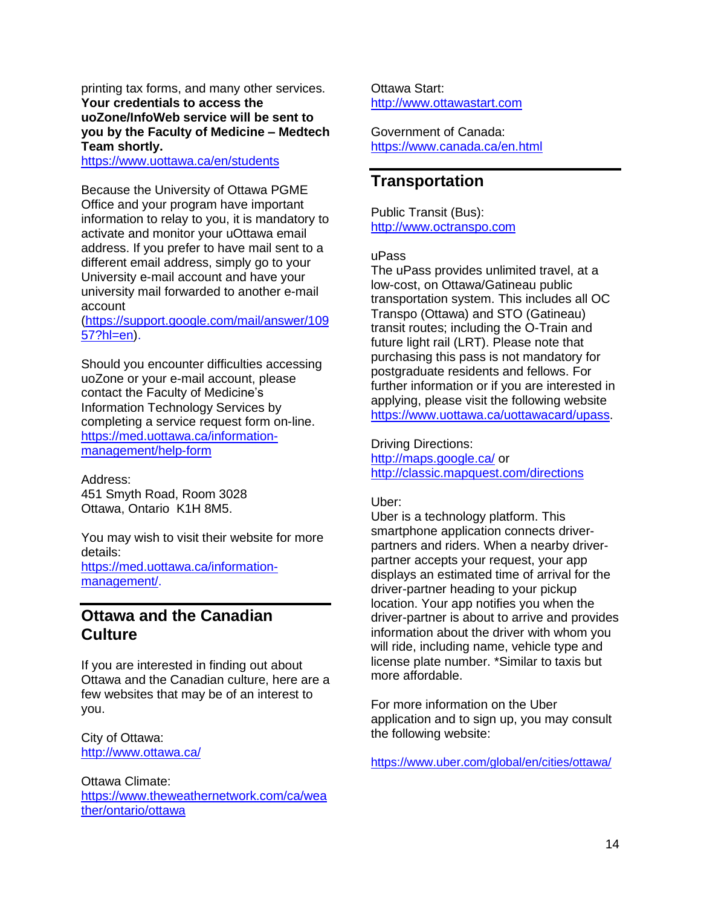printing tax forms, and many other services. **Your credentials to access the uoZone/InfoWeb service will be sent to you by the Faculty of Medicine – Medtech Team shortly.**

<https://www.uottawa.ca/en/students>

Because the University of Ottawa PGME Office and your program have important information to relay to you, it is mandatory to activate and monitor your uOttawa email address. If you prefer to have mail sent to a different email address, simply go to your University e-mail account and have your university mail forwarded to another e-mail account

[\(https://support.google.com/mail/answer/109](https://support.google.com/mail/answer/10957?hl=en) [57?hl=en\)](https://support.google.com/mail/answer/10957?hl=en).

Should you encounter difficulties accessing uoZone or your e-mail account, please contact the Faculty of Medicine's Information Technology Services by completing a service request form on-line. [https://med.uottawa.ca/information](https://med.uottawa.ca/information-management/help-form)[management/help-form](https://med.uottawa.ca/information-management/help-form)

Address: 451 Smyth Road, Room 3028 Ottawa, Ontario K1H 8M5.

You may wish to visit their website for more details: [https://med.uottawa.ca/information-](https://med.uottawa.ca/information-management/)

[management/.](https://med.uottawa.ca/information-management/)

### **Ottawa and the Canadian Culture**

If you are interested in finding out about Ottawa and the Canadian culture, here are a few websites that may be of an interest to you.

City of Ottawa: <http://www.ottawa.ca/>

Ottawa Climate: [https://www.theweathernetwork.com/ca/wea](https://www.theweathernetwork.com/ca/weather/ontario/ottawa) [ther/ontario/ottawa](https://www.theweathernetwork.com/ca/weather/ontario/ottawa)

Ottawa Start: http:/[/www.ottawastart.com](http://www.ottawastart.com/)

Government of Canada: <https://www.canada.ca/en.html>

### **Transportation**

Public Transit (Bus): http:/[/www.octranspo.com](http://www.octranspo.com/)

uPass

The uPass provides unlimited travel, at a low-cost, on Ottawa/Gatineau public transportation system. This includes all OC Transpo (Ottawa) and STO (Gatineau) transit routes; including the O-Train and future light rail (LRT). Please note that purchasing this pass is not mandatory for postgraduate residents and fellows. For further information or if you are interested in applying, please visit the following website [https://www.uottawa.ca/uottawacard/upass.](https://www.uottawa.ca/uottawacard/upass)

Driving Directions: <http://maps.google.ca/> or <http://classic.mapquest.com/directions>

#### Uber:

Uber is a technology platform. This smartphone application connects driverpartners and riders. When a nearby driverpartner accepts your request, your app displays an estimated time of arrival for the driver-partner heading to your pickup location. Your app notifies you when the driver-partner is about to arrive and provides information about the driver with whom you will ride, including name, vehicle type and license plate number. \*Similar to taxis but more affordable.

For more information on the Uber application and to sign up, you may consult the following website:

<https://www.uber.com/global/en/cities/ottawa/>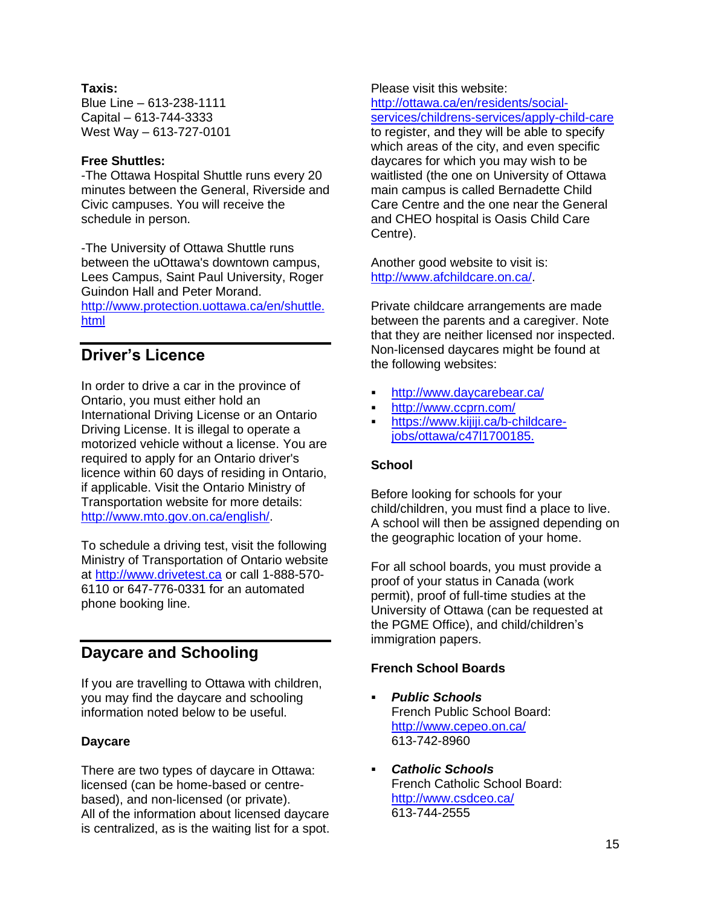#### **Taxis:**

Blue Line – 613-238-1111 Capital – 613-744-3333 West Way – 613-727-0101

#### **Free Shuttles:**

-The Ottawa Hospital Shuttle runs every 20 minutes between the General, Riverside and Civic campuses. You will receive the schedule in person.

-The University of Ottawa Shuttle runs between the uOttawa's downtown campus, Lees Campus, Saint Paul University, Roger Guindon Hall and Peter Morand. [http://www.protection.uottawa.ca/en/shuttle.](http://www.protection.uottawa.ca/en/shuttle.html) [html](http://www.protection.uottawa.ca/en/shuttle.html)

### **Driver's Licence**

In order to drive a car in the province of Ontario, you must either hold an International Driving License or an Ontario Driving License. It is illegal to operate a motorized vehicle without a license. You are required to apply for an Ontario driver's licence within 60 days of residing in Ontario, if applicable. Visit the Ontario Ministry of Transportation website for more details: [http://www.mto.gov.on.ca/english/.](http://www.mto.gov.on.ca/english/)

To schedule a driving test, visit the following Ministry of Transportation of Ontario website at [http://www.drivetest.ca](http://www.drivetest.ca/) or call 1-888-570- 6110 or 647-776-0331 for an automated phone booking line.

### **Daycare and Schooling**

If you are travelling to Ottawa with children, you may find the daycare and schooling information noted below to be useful.

#### **Daycare**

There are two types of daycare in Ottawa: licensed (can be home-based or centrebased), and non-licensed (or private). All of the information about licensed daycare is centralized, as is the waiting list for a spot. Please visit this website: [http://ottawa.ca/en/residents/social](http://ottawa.ca/en/residents/social-services/childrens-services/apply-child-care)[services/childrens-services/apply-child-care](http://ottawa.ca/en/residents/social-services/childrens-services/apply-child-care) to register, and they will be able to specify which areas of the city, and even specific daycares for which you may wish to be waitlisted (the one on University of Ottawa main campus is called Bernadette Child Care Centre and the one near the General

and CHEO hospital is Oasis Child Care

Another good website to visit is: [http://www.afchildcare.on.ca/.](http://www.afchildcare.on.ca/)

Private childcare arrangements are made between the parents and a caregiver. Note that they are neither licensed nor inspected. Non-licensed daycares might be found at the following websites:

- <http://www.daycarebear.ca/>
- <http://www.ccprn.com/>
- [https://www.kijiji.ca/b-childcare](https://www.kijiji.ca/b-childcare-jobs/ottawa/c47l1700185)[jobs/ottawa/c47l1700185.](https://www.kijiji.ca/b-childcare-jobs/ottawa/c47l1700185)

#### **School**

Centre).

Before looking for schools for your child/children, you must find a place to live. A school will then be assigned depending on the geographic location of your home.

For all school boards, you must provide a proof of your status in Canada (work permit), proof of full-time studies at the University of Ottawa (can be requested at the PGME Office), and child/children's immigration papers.

#### **French School Boards**

- *Public Schools* French Public School Board: <http://www.cepeo.on.ca/> 613-742-8960
- *Catholic Schools* French Catholic School Board: <http://www.csdceo.ca/> 613-744-2555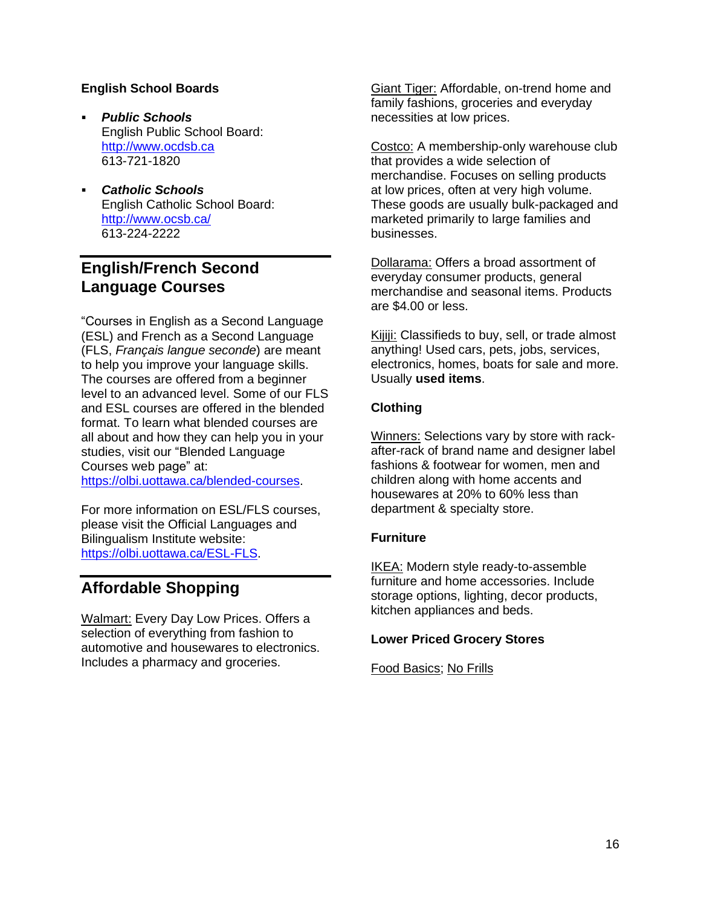#### **English School Boards**

- **Public Schools** English Public School Board: [http://www.ocdsb.ca](http://www.ocdsb.ca/) 613-721-1820
- *Catholic Schools* English Catholic School Board: <http://www.ocsb.ca/> 613-224-2222

### **English/French Second Language Courses**

"Courses in English as a Second Language (ESL) and French as a Second Language (FLS, *Français langue seconde*) are meant to help you improve your language skills. The courses are offered from a beginner level to an advanced level. Some of our FLS and ESL courses are offered in the blended format. To learn what blended courses are all about and how they can help you in your studies, visit our "Blended Language Courses web page" at:

[https://olbi.uottawa.ca/blended-courses.](https://olbi.uottawa.ca/blended-courses)

For more information on ESL/FLS courses, please visit the Official Languages and Bilingualism Institute website: [https://olbi.uottawa.ca/ESL-FLS.](https://olbi.uottawa.ca/ESL-FLS)

### **Affordable Shopping**

Walmart: Every Day Low Prices. Offers a selection of everything from fashion to automotive and housewares to electronics. Includes a pharmacy and groceries.

Giant Tiger: Affordable, on-trend home and family fashions, groceries and everyday necessities at low prices.

Costco: A membership-only warehouse club that provides a wide selection of merchandise. Focuses on selling products at low prices, often at very high volume. These goods are usually bulk-packaged and marketed primarily to large families and businesses.

Dollarama: Offers a broad assortment of everyday consumer products, general merchandise and seasonal items. Products are \$4.00 or less.

Kijiji: Classifieds to buy, sell, or trade almost anything! Used cars, pets, jobs, services, electronics, homes, boats for sale and more. Usually **used items**.

#### **Clothing**

Winners: Selections vary by store with rackafter-rack of brand name and designer label fashions & footwear for women, men and children along with home accents and housewares at 20% to 60% less than department & specialty store.

#### **Furniture**

IKEA: Modern style ready-to-assemble furniture and home accessories. Include storage options, lighting, decor products, kitchen appliances and beds.

#### **Lower Priced Grocery Stores**

Food Basics; No Frills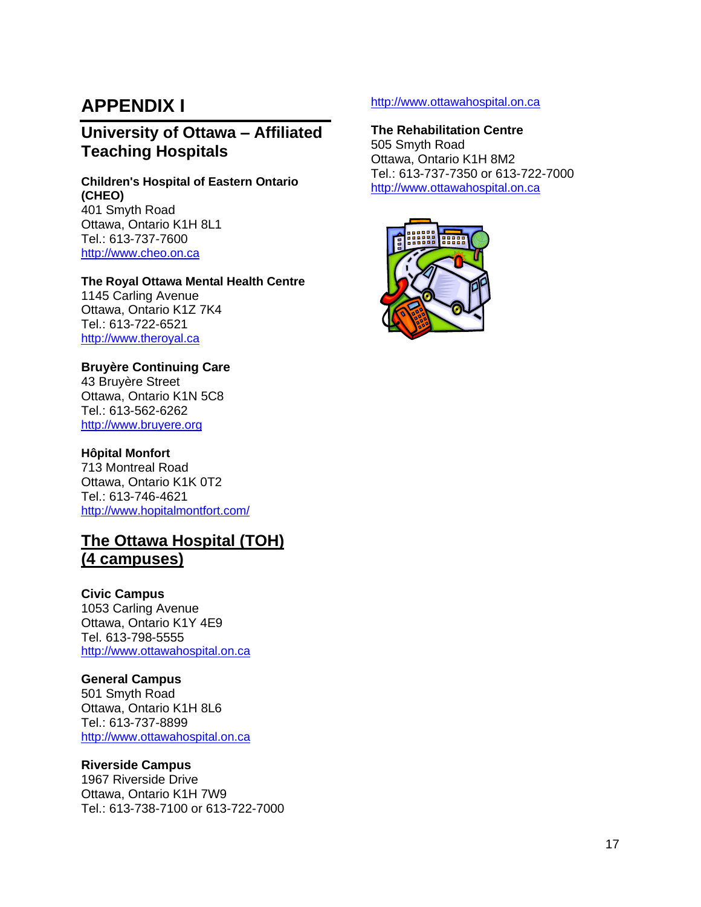# **APPENDIX I**

### **University of Ottawa – Affiliated Teaching Hospitals**

#### **Children's Hospital of Eastern Ontario (CHEO)**

401 Smyth Road Ottawa, Ontario K1H 8L1 Tel.: 613-737-7600 http:/[/www.cheo.on.ca](http://www.cheo.on.ca/)

#### **The Royal Ottawa Mental Health Centre**

1145 Carling Avenue Ottawa, Ontario K1Z 7K4 Tel.: 613-722-6521 [http://www.theroyal.ca](http://www.rohcg.on.ca/)

#### **[Bruyère Continuing Care](http://www.bruyere.org/bins/content_page.asp?cid=6-16-17&lang=1)**

43 Bruyère Street Ottawa, Ontario K1N 5C8 Tel.: 613-562-6262 [http://www.bruyere.org](http://www.bruyere.org/)

#### **Hôpital Monfort**

713 Montreal Road Ottawa, Ontario K1K 0T2 Tel.: 613-746-4621 <http://www.hopitalmontfort.com/>

### **The Ottawa Hospital (TOH) (4 campuses)**

#### **Civic Campus**

1053 Carling Avenue Ottawa, Ontario K1Y 4E9 Tel. 613-798-5555 http:/[/www.ottawahospital.on.ca](http://www.ottawahospital.on.ca/)

#### **General Campus**

501 Smyth Road Ottawa, Ontario K1H 8L6 Tel.: 613-737-8899 http:/[/www.ottawahospital.on.ca](http://www.ottawahospital.on.ca/)

#### **Riverside Campus**

1967 Riverside Drive Ottawa, Ontario K1H 7W9 Tel.: 613-738-7100 or 613-722-7000

#### http:/[/www.ottawahospital.on.ca](http://www.ottawahospital.on.ca/)

**The Rehabilitation Centre** 505 Smyth Road Ottawa, Ontario K1H 8M2 Tel.: 613-737-7350 or 613-722-7000 http:/[/www.ottawahospital.on.ca](http://www.ottawahospital.on.ca/)